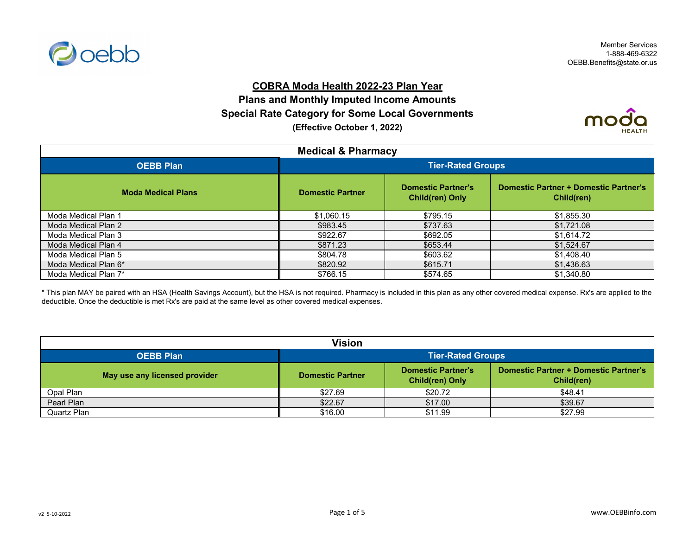

## **COBRA Moda Health 2022-23 Plan Year**

**Plans and Monthly Imputed Income Amounts Special Rate Category for Some Local Governments (Effective October 1, 2022)**



| <b>Medical &amp; Pharmacy</b> |                          |                                                     |                                                            |
|-------------------------------|--------------------------|-----------------------------------------------------|------------------------------------------------------------|
| <b>OEBB Plan</b>              | <b>Tier-Rated Groups</b> |                                                     |                                                            |
| <b>Moda Medical Plans</b>     | <b>Domestic Partner</b>  | <b>Domestic Partner's</b><br><b>Child(ren) Only</b> | <b>Domestic Partner + Domestic Partner's</b><br>Child(ren) |
| Moda Medical Plan 1           | \$1,060.15               | \$795.15                                            | \$1,855.30                                                 |
| Moda Medical Plan 2           | \$983.45                 | \$737.63                                            | \$1,721.08                                                 |
| Moda Medical Plan 3           | \$922.67                 | \$692.05                                            | \$1,614.72                                                 |
| Moda Medical Plan 4           | \$871.23                 | \$653.44                                            | \$1,524.67                                                 |
| Moda Medical Plan 5           | \$804.78                 | \$603.62                                            | \$1,408.40                                                 |
| Moda Medical Plan 6*          | \$820.92                 | \$615.71                                            | \$1,436.63                                                 |
| Moda Medical Plan 7*          | \$766.15                 | \$574.65                                            | \$1,340.80                                                 |

\* This plan MAY be paired with an HSA (Health Savings Account), but the HSA is not required. Pharmacy is included in this plan as any other covered medical expense. Rx's are applied to the deductible. Once the deductible is met Rx's are paid at the same level as other covered medical expenses.

| Vision                        |                                                                                                                                              |         |         |  |
|-------------------------------|----------------------------------------------------------------------------------------------------------------------------------------------|---------|---------|--|
| <b>OEBB Plan</b>              | <b>Tier-Rated Groups</b>                                                                                                                     |         |         |  |
| May use any licensed provider | <b>Domestic Partner + Domestic Partner's</b><br><b>Domestic Partner's</b><br><b>Domestic Partner</b><br><b>Child(ren) Only</b><br>Child(ren) |         |         |  |
| Opal Plan                     | \$27.69                                                                                                                                      | \$20.72 | \$48.41 |  |
| Pearl Plan                    | \$22.67                                                                                                                                      | \$17.00 | \$39.67 |  |
| Quartz Plan                   | \$16.00                                                                                                                                      | \$11.99 | \$27.99 |  |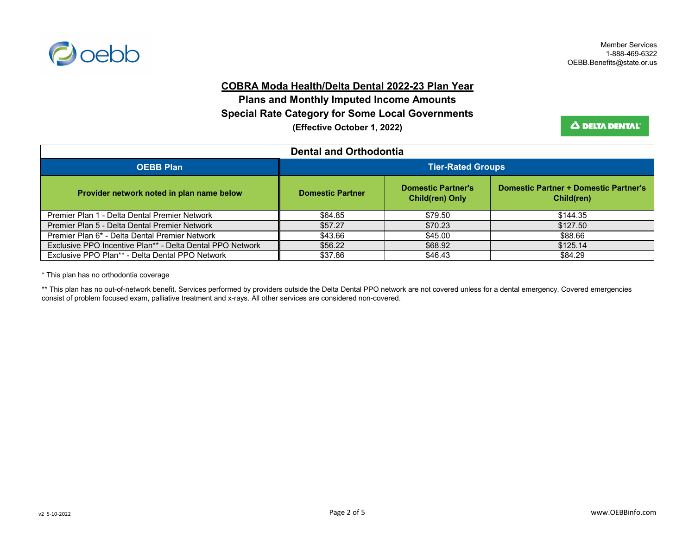

#### **COBRA Moda Health/Delta Dental 2022-23 Plan Year**

**Special Rate Category for Some Local Governments Plans and Monthly Imputed Income Amounts (Effective October 1, 2022)**

**A DELTA DENTAL** 

| <b>Dental and Orthodontia</b>                               |                                                                                                                                              |         |          |  |
|-------------------------------------------------------------|----------------------------------------------------------------------------------------------------------------------------------------------|---------|----------|--|
| <b>OEBB Plan</b>                                            | <b>Tier-Rated Groups</b>                                                                                                                     |         |          |  |
| Provider network noted in plan name below                   | <b>Domestic Partner + Domestic Partner's</b><br><b>Domestic Partner's</b><br><b>Domestic Partner</b><br><b>Child(ren) Only</b><br>Child(ren) |         |          |  |
| Premier Plan 1 - Delta Dental Premier Network               | \$64.85                                                                                                                                      | \$79.50 | \$144.35 |  |
| Premier Plan 5 - Delta Dental Premier Network               | \$57.27                                                                                                                                      | \$70.23 | \$127.50 |  |
| Premier Plan 6* - Delta Dental Premier Network              | \$43.66                                                                                                                                      | \$45.00 | \$88.66  |  |
| Exclusive PPO Incentive Plan** - Delta Dental PPO Network   | \$56.22                                                                                                                                      | \$68.92 | \$125.14 |  |
| Exclusive PPO Plan <sup>**</sup> - Delta Dental PPO Network | \$37.86                                                                                                                                      | \$46.43 | \$84.29  |  |

\* This plan has no orthodontia coverage

\*\* This plan has no out-of-network benefit. Services performed by providers outside the Delta Dental PPO network are not covered unless for a dental emergency. Covered emergencies consist of problem focused exam, palliative treatment and x-rays. All other services are considered non-covered.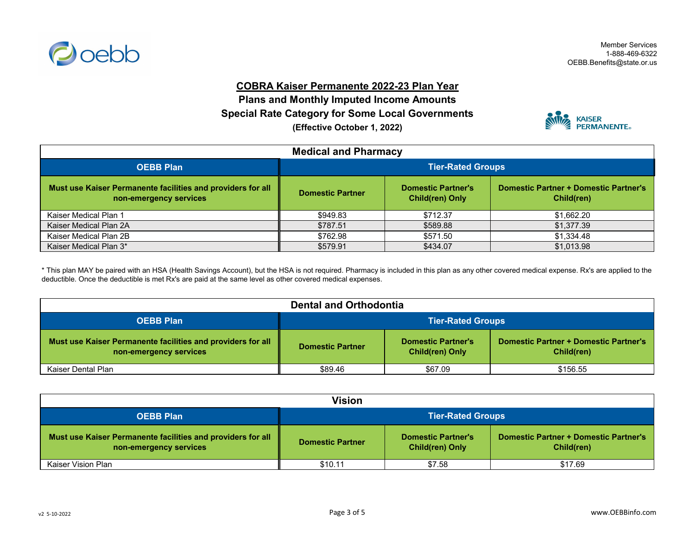

### **COBRA Kaiser Permanente 2022-23 Plan Year**

**Plans and Monthly Imputed Income Amounts (Effective October 1, 2022) Special Rate Category for Some Local Governments**



| <b>Medical and Pharmacy</b>                                                           |                                                                                                                                              |          |            |
|---------------------------------------------------------------------------------------|----------------------------------------------------------------------------------------------------------------------------------------------|----------|------------|
| <b>OEBB Plan</b>                                                                      | <b>Tier-Rated Groups</b>                                                                                                                     |          |            |
| Must use Kaiser Permanente facilities and providers for all<br>non-emergency services | <b>Domestic Partner + Domestic Partner's</b><br><b>Domestic Partner's</b><br><b>Domestic Partner</b><br><b>Child(ren) Only</b><br>Child(ren) |          |            |
| Kaiser Medical Plan 1                                                                 | \$949.83                                                                                                                                     | \$712.37 | \$1,662.20 |
| Kaiser Medical Plan 2A                                                                | \$787.51                                                                                                                                     | \$589.88 | \$1,377.39 |
| Kaiser Medical Plan 2B                                                                | \$762.98                                                                                                                                     | \$571.50 | \$1,334.48 |
| Kaiser Medical Plan 3*                                                                | \$579.91                                                                                                                                     | \$434.07 | \$1,013.98 |

\* This plan MAY be paired with an HSA (Health Savings Account), but the HSA is not required. Pharmacy is included in this plan as any other covered medical expense. Rx's are applied to the deductible. Once the deductible is met Rx's are paid at the same level as other covered medical expenses.

| <b>Dental and Orthodontia</b>                                                         |                                                                                                                                              |         |          |  |
|---------------------------------------------------------------------------------------|----------------------------------------------------------------------------------------------------------------------------------------------|---------|----------|--|
| <b>OEBB Plan</b>                                                                      | <b>Tier-Rated Groups</b>                                                                                                                     |         |          |  |
| Must use Kaiser Permanente facilities and providers for all<br>non-emergency services | <b>Domestic Partner + Domestic Partner's</b><br><b>Domestic Partner's</b><br><b>Domestic Partner</b><br><b>Child(ren) Only</b><br>Child(ren) |         |          |  |
| Kaiser Dental Plan                                                                    | \$89.46                                                                                                                                      | \$67.09 | \$156.55 |  |

| <b>Vision</b>                                                                         |                                                                                                                                              |        |         |  |
|---------------------------------------------------------------------------------------|----------------------------------------------------------------------------------------------------------------------------------------------|--------|---------|--|
| <b>OEBB Plan</b>                                                                      | <b>Tier-Rated Groups</b>                                                                                                                     |        |         |  |
| Must use Kaiser Permanente facilities and providers for all<br>non-emergency services | <b>Domestic Partner + Domestic Partner's</b><br><b>Domestic Partner's</b><br><b>Domestic Partner</b><br><b>Child(ren) Only</b><br>Child(ren) |        |         |  |
| Kaiser Vision Plan                                                                    | \$10.11                                                                                                                                      | \$7.58 | \$17.69 |  |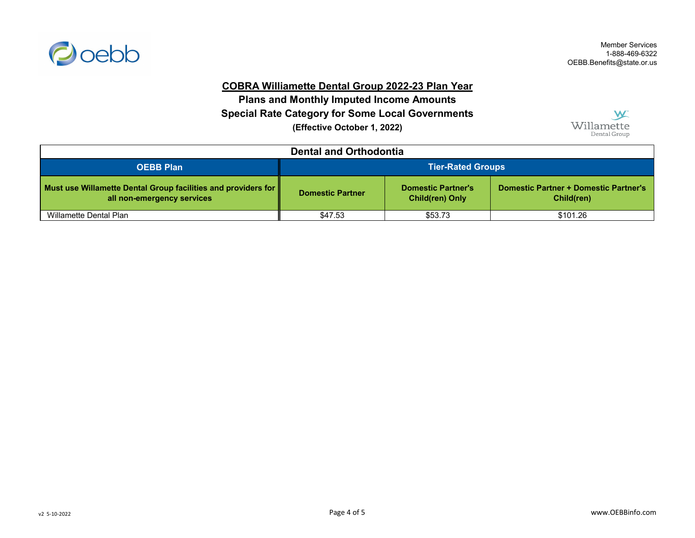

# **COBRA Williamette Dental Group 2022-23 Plan Year**

**(Effective October 1, 2022) Special Rate Category for Some Local Governments Plans and Monthly Imputed Income Amounts**



| <b>Dental and Orthodontia</b>                                                                    |                                                                                                                                              |         |          |  |
|--------------------------------------------------------------------------------------------------|----------------------------------------------------------------------------------------------------------------------------------------------|---------|----------|--|
| <b>OEBB Plan</b>                                                                                 | <b>Tier-Rated Groups</b>                                                                                                                     |         |          |  |
| Must use Willamette Dental Group facilities and providers for $\ $<br>all non-emergency services | <b>Domestic Partner + Domestic Partner's</b><br><b>Domestic Partner's</b><br><b>Domestic Partner</b><br><b>Child(ren) Only</b><br>Child(ren) |         |          |  |
| Willamette Dental Plan                                                                           | \$47.53                                                                                                                                      | \$53.73 | \$101.26 |  |